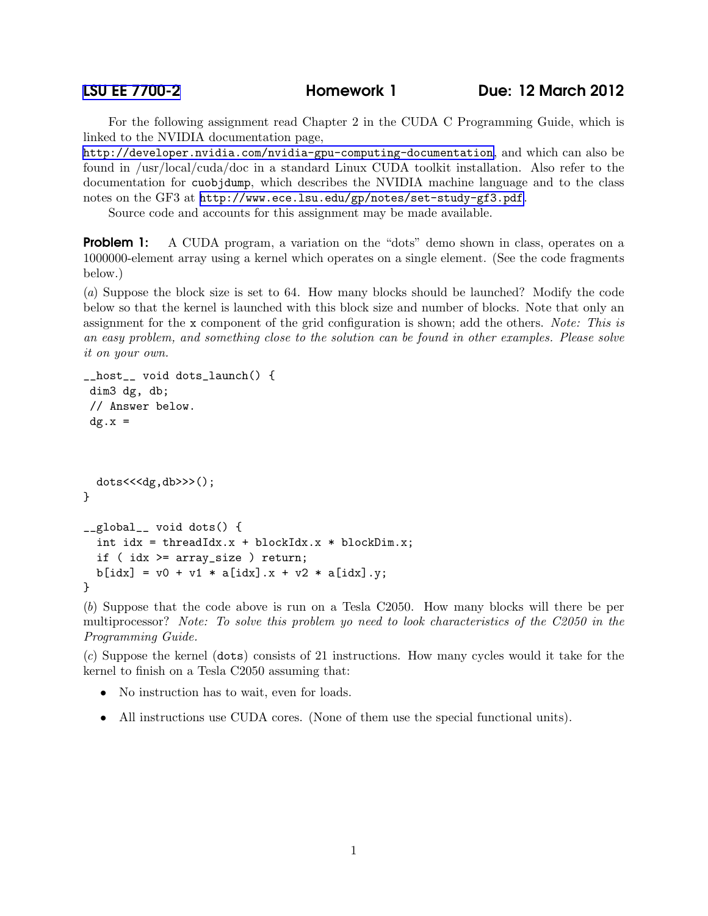## [LSU EE 7700-2](http://www.ece.lsu.edu/gp/) Homework 1 Due: 12 March 2012

For the following assignment read Chapter 2 in the CUDA C Programming Guide, which is linked to the NVIDIA documentation page,

<http://developer.nvidia.com/nvidia-gpu-computing-documentation>, and which can also be found in /usr/local/cuda/doc in a standard Linux CUDA toolkit installation. Also refer to the documentation for cuobjdump, which describes the NVIDIA machine language and to the class notes on the GF3 at <http://www.ece.lsu.edu/gp/notes/set-study-gf3.pdf>.

Source code and accounts for this assignment may be made available.

**Problem 1:** A CUDA program, a variation on the "dots" demo shown in class, operates on a 1000000-element array using a kernel which operates on a single element. (See the code fragments below.)

(*a*) Suppose the block size is set to 64. How many blocks should be launched? Modify the code below so that the kernel is launched with this block size and number of blocks. Note that only an assignment for the x component of the grid configuration is shown; add the others. *Note: This is an easy problem, and something close to the solution can be found in other examples. Please solve it on your own.*

```
__host__ void dots_launch() {
dim3 dg, db;
// Answer below.
 dg.x =dots<<<dg,db>>>();
}
__global__ void dots() {
  int idx = threadIdx.x +blockIdx.x *blockDim.x;
  if ( idx >= array_size ) return;
 b[idx] = v0 + v1 * a[idx].x + v2 * a[idx].y;
}
```
(*b*) Suppose that the code above is run on a Tesla C2050. How many blocks will there be per multiprocessor? *Note: To solve this problem yo need to look characteristics of the C2050 in the Programming Guide.*

(*c*) Suppose the kernel (dots) consists of 21 instructions. How many cycles would it take for the kernel to finish on a Tesla C2050 assuming that:

- No instruction has to wait, even for loads.
- All instructions use CUDA cores. (None of them use the special functional units).